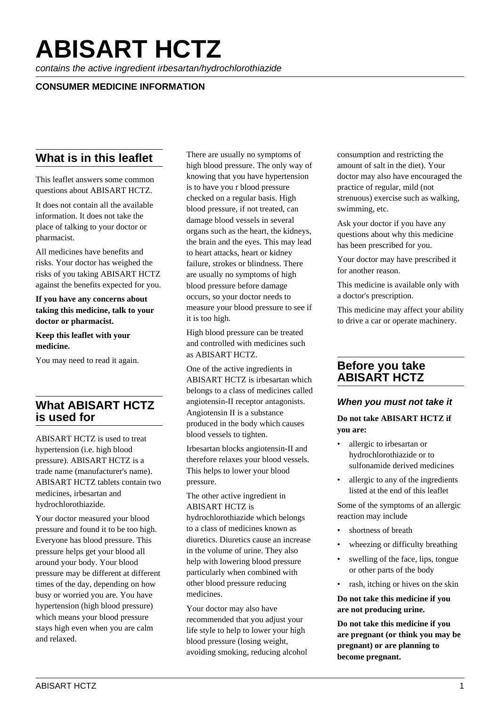# **ABISART HCTZ**

contains the active ingredient irbesartan/hydrochlorothiazide

# **CONSUMER MEDICINE INFORMATION**

# **What is in this leaflet**

This leaflet answers some common questions about ABISART HCTZ.

It does not contain all the available information. It does not take the place of talking to your doctor or pharmacist.

All medicines have benefits and risks. Your doctor has weighed the risks of you taking ABISART HCTZ against the benefits expected for you.

**If you have any concerns about taking this medicine, talk to your doctor or pharmacist.**

**Keep this leaflet with your medicine.**

You may need to read it again.

# **What ABISART HCTZ is used for**

ABISART HCTZ is used to treat hypertension (i.e. high blood pressure). ABISART HCTZ is a trade name (manufacturer's name). ABISART HCTZ tablets contain two medicines, irbesartan and hydrochlorothiazide.

Your doctor measured your blood pressure and found it to be too high. Everyone has blood pressure. This pressure helps get your blood all around your body. Your blood pressure may be different at different times of the day, depending on how busy or worried you are. You have hypertension (high blood pressure) which means your blood pressure stays high even when you are calm and relaxed.

There are usually no symptoms of high blood pressure. The only way of knowing that you have hypertension is to have you r blood pressure checked on a regular basis. High blood pressure, if not treated, can damage blood vessels in several organs such as the heart, the kidneys, the brain and the eyes. This may lead to heart attacks, heart or kidney failure, strokes or blindness. There are usually no symptoms of high blood pressure before damage occurs, so your doctor needs to measure your blood pressure to see if it is too high.

High blood pressure can be treated and controlled with medicines such as ABISART HCTZ.

One of the active ingredients in ABISART HCTZ is irbesartan which belongs to a class of medicines called angiotensin-II receptor antagonists. Angiotensin II is a substance produced in the body which causes blood vessels to tighten.

Irbesartan blocks angiotensin-II and therefore relaxes your blood vessels. This helps to lower your blood pressure.

The other active ingredient in ABISART HCTZ is

hydrochlorothiazide which belongs to a class of medicines known as diuretics. Diuretics cause an increase in the volume of urine. They also help with lowering blood pressure particularly when combined with other blood pressure reducing medicines.

Your doctor may also have recommended that you adjust your life style to help to lower your high blood pressure (losing weight, avoiding smoking, reducing alcohol consumption and restricting the amount of salt in the diet). Your doctor may also have encouraged the practice of regular, mild (not strenuous) exercise such as walking, swimming, etc.

Ask your doctor if you have any questions about why this medicine has been prescribed for you.

Your doctor may have prescribed it for another reason.

This medicine is available only with a doctor's prescription.

This medicine may affect your ability to drive a car or operate machinery.

# **Before you take ABISART HCTZ**

#### **When you must not take it**

#### **Do not take ABISART HCTZ if you are:**

- allergic to irbesartan or hydrochlorothiazide or to sulfonamide derived medicines
- allergic to any of the ingredients listed at the end of this leaflet

Some of the symptoms of an allergic reaction may include

- shortness of breath
- wheezing or difficulty breathing
- swelling of the face, lips, tongue or other parts of the body
- rash, itching or hives on the skin

**Do not take this medicine if you are not producing urine.**

**Do not take this medicine if you are pregnant (or think you may be pregnant) or are planning to become pregnant.**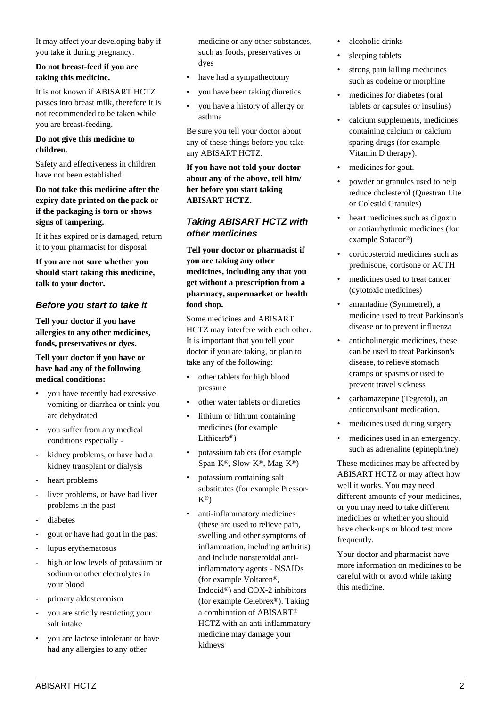It may affect your developing baby if you take it during pregnancy.

#### **Do not breast-feed if you are taking this medicine.**

It is not known if ABISART HCTZ passes into breast milk, therefore it is not recommended to be taken while you are breast-feeding.

#### **Do not give this medicine to children.**

Safety and effectiveness in children have not been established.

#### **Do not take this medicine after the expiry date printed on the pack or if the packaging is torn or shows signs of tampering.**

If it has expired or is damaged, return it to your pharmacist for disposal.

**If you are not sure whether you should start taking this medicine, talk to your doctor.**

## **Before you start to take it**

**Tell your doctor if you have allergies to any other medicines, foods, preservatives or dyes.**

#### **Tell your doctor if you have or have had any of the following medical conditions:**

- you have recently had excessive vomiting or diarrhea or think you are dehydrated
- you suffer from any medical conditions especially -
- kidney problems, or have had a kidney transplant or dialysis
- heart problems
- liver problems, or have had liver problems in the past
- diabetes
- gout or have had gout in the past
- lupus erythematosus
- high or low levels of potassium or sodium or other electrolytes in your blood
- primary aldosteronism
- you are strictly restricting your salt intake
- you are lactose intolerant or have had any allergies to any other

medicine or any other substances, such as foods, preservatives or dyes

- have had a sympathectomy
- you have been taking diuretics
- you have a history of allergy or asthma

Be sure you tell your doctor about any of these things before you take any ABISART HCTZ.

**If you have not told your doctor about any of the above, tell him/ her before you start taking ABISART HCTZ.**

#### **Taking ABISART HCTZ with other medicines**

**Tell your doctor or pharmacist if you are taking any other medicines, including any that you get without a prescription from a pharmacy, supermarket or health food shop.**

Some medicines and ABISART HCTZ may interfere with each other. It is important that you tell your doctor if you are taking, or plan to take any of the following:

- other tablets for high blood pressure
- other water tablets or diuretics
- lithium or lithium containing medicines (for example Lithicarb®)
- potassium tablets (for example Span-K®, Slow-K®, Mag-K®)
- potassium containing salt substitutes (for example Pressor-K®)
- anti-inflammatory medicines (these are used to relieve pain, swelling and other symptoms of inflammation, including arthritis) and include nonsteroidal antiinflammatory agents - NSAIDs (for example Voltaren®, Indocid®) and COX-2 inhibitors (for example Celebrex®). Taking a combination of ABISART® HCTZ with an anti-inflammatory medicine may damage your kidneys
- alcoholic drinks
- sleeping tablets
- strong pain killing medicines such as codeine or morphine
- medicines for diabetes (oral tablets or capsules or insulins)
- calcium supplements, medicines containing calcium or calcium sparing drugs (for example Vitamin D therapy).
- medicines for gout.
- powder or granules used to help reduce cholesterol (Questran Lite or Colestid Granules)
- heart medicines such as digoxin or antiarrhythmic medicines (for example Sotacor®)
- corticosteroid medicines such as prednisone, cortisone or ACTH
- medicines used to treat cancer (cytotoxic medicines)
- amantadine (Symmetrel), a medicine used to treat Parkinson's disease or to prevent influenza
- anticholinergic medicines, these can be used to treat Parkinson's disease, to relieve stomach cramps or spasms or used to prevent travel sickness
- carbamazepine (Tegretol), an anticonvulsant medication.
- medicines used during surgery
- medicines used in an emergency. such as adrenaline (epinephrine).

These medicines may be affected by ABISART HCTZ or may affect how well it works. You may need different amounts of your medicines, or you may need to take different medicines or whether you should have check-ups or blood test more frequently.

Your doctor and pharmacist have more information on medicines to be careful with or avoid while taking this medicine.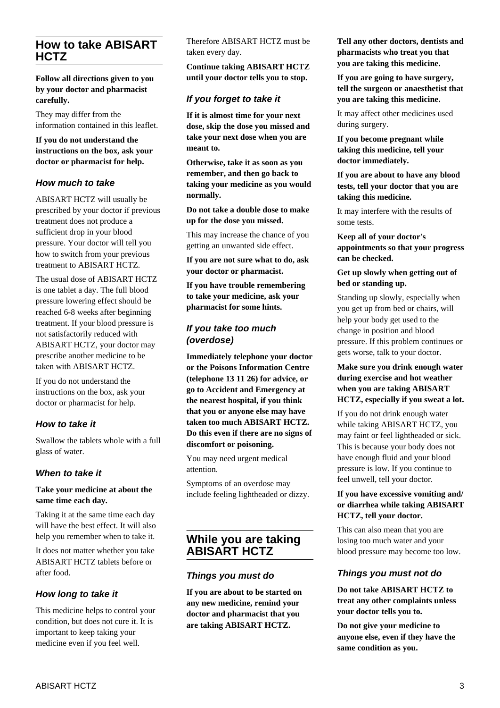# **How to take ABISART HCTZ**

**Follow all directions given to you by your doctor and pharmacist carefully.**

They may differ from the information contained in this leaflet.

**If you do not understand the instructions on the box, ask your doctor or pharmacist for help.**

## **How much to take**

ABISART HCTZ will usually be prescribed by your doctor if previous treatment does not produce a sufficient drop in your blood pressure. Your doctor will tell you how to switch from your previous treatment to ABISART HCTZ.

The usual dose of ABISART HCTZ is one tablet a day. The full blood pressure lowering effect should be reached 6-8 weeks after beginning treatment. If your blood pressure is not satisfactorily reduced with ABISART HCTZ, your doctor may prescribe another medicine to be taken with ABISART HCTZ.

If you do not understand the instructions on the box, ask your doctor or pharmacist for help.

## **How to take it**

Swallow the tablets whole with a full glass of water.

#### **When to take it**

#### **Take your medicine at about the same time each day.**

Taking it at the same time each day will have the best effect. It will also help you remember when to take it.

It does not matter whether you take ABISART HCTZ tablets before or after food.

## **How long to take it**

This medicine helps to control your condition, but does not cure it. It is important to keep taking your medicine even if you feel well.

Therefore ABISART HCTZ must be taken every day.

**Continue taking ABISART HCTZ until your doctor tells you to stop.**

# **If you forget to take it**

**If it is almost time for your next dose, skip the dose you missed and take your next dose when you are meant to.**

**Otherwise, take it as soon as you remember, and then go back to taking your medicine as you would normally.**

**Do not take a double dose to make up for the dose you missed.**

This may increase the chance of you getting an unwanted side effect.

**If you are not sure what to do, ask your doctor or pharmacist.**

**If you have trouble remembering to take your medicine, ask your pharmacist for some hints.**

# **If you take too much (overdose)**

**Immediately telephone your doctor or the Poisons Information Centre (telephone 13 11 26) for advice, or go to Accident and Emergency at the nearest hospital, if you think that you or anyone else may have taken too much ABISART HCTZ. Do this even if there are no signs of discomfort or poisoning.**

You may need urgent medical attention.

Symptoms of an overdose may include feeling lightheaded or dizzy.

# **While you are taking ABISART HCTZ**

#### **Things you must do**

**If you are about to be started on any new medicine, remind your doctor and pharmacist that you are taking ABISART HCTZ.**

**Tell any other doctors, dentists and pharmacists who treat you that you are taking this medicine.**

**If you are going to have surgery, tell the surgeon or anaesthetist that you are taking this medicine.**

It may affect other medicines used during surgery.

**If you become pregnant while taking this medicine, tell your doctor immediately.**

**If you are about to have any blood tests, tell your doctor that you are taking this medicine.**

It may interfere with the results of some tests.

**Keep all of your doctor's appointments so that your progress can be checked.**

#### **Get up slowly when getting out of bed or standing up.**

Standing up slowly, especially when you get up from bed or chairs, will help your body get used to the change in position and blood pressure. If this problem continues or gets worse, talk to your doctor.

#### **Make sure you drink enough water during exercise and hot weather when you are taking ABISART HCTZ, especially if you sweat a lot.**

If you do not drink enough water while taking ABISART HCTZ, you may faint or feel lightheaded or sick. This is because your body does not have enough fluid and your blood pressure is low. If you continue to feel unwell, tell your doctor.

#### **If you have excessive vomiting and/ or diarrhea while taking ABISART HCTZ, tell your doctor.**

This can also mean that you are losing too much water and your blood pressure may become too low.

#### **Things you must not do**

**Do not take ABISART HCTZ to treat any other complaints unless your doctor tells you to.**

**Do not give your medicine to anyone else, even if they have the same condition as you.**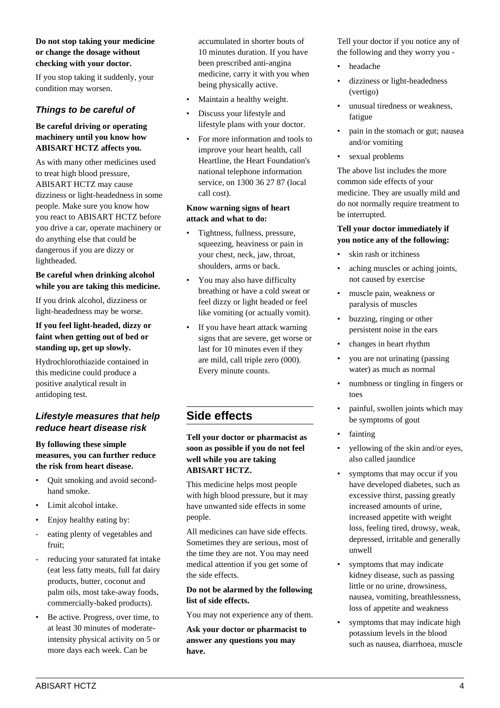#### **Do not stop taking your medicine or change the dosage without checking with your doctor.**

If you stop taking it suddenly, your condition may worsen.

## **Things to be careful of**

#### **Be careful driving or operating machinery until you know how ABISART HCTZ affects you.**

As with many other medicines used to treat high blood pressure, ABISART HCTZ may cause dizziness or light-headedness in some people. Make sure you know how you react to ABISART HCTZ before you drive a car, operate machinery or do anything else that could be dangerous if you are dizzy or lightheaded.

#### **Be careful when drinking alcohol while you are taking this medicine.**

If you drink alcohol, dizziness or light-headedness may be worse.

#### **If you feel light-headed, dizzy or faint when getting out of bed or standing up, get up slowly.**

Hydrochlorothiazide contained in this medicine could produce a positive analytical result in antidoping test.

# **Lifestyle measures that help reduce heart disease risk**

#### **By following these simple measures, you can further reduce the risk from heart disease.**

- Quit smoking and avoid secondhand smoke.
- Limit alcohol intake.
- Enjoy healthy eating by:
- eating plenty of vegetables and fruit;
- reducing your saturated fat intake (eat less fatty meats, full fat dairy products, butter, coconut and palm oils, most take-away foods, commercially-baked products).
- Be active. Progress, over time, to at least 30 minutes of moderateintensity physical activity on 5 or more days each week. Can be

accumulated in shorter bouts of 10 minutes duration. If you have been prescribed anti-angina medicine, carry it with you when being physically active.

- Maintain a healthy weight.
- Discuss your lifestyle and lifestyle plans with your doctor.
- For more information and tools to improve your heart health, call Heartline, the Heart Foundation's national telephone information service, on 1300 36 27 87 (local call cost).

#### **Know warning signs of heart attack and what to do:**

- Tightness, fullness, pressure, squeezing, heaviness or pain in your chest, neck, jaw, throat, shoulders, arms or back.
- You may also have difficulty breathing or have a cold sweat or feel dizzy or light headed or feel like vomiting (or actually vomit).
- If you have heart attack warning signs that are severe, get worse or last for 10 minutes even if they are mild, call triple zero (000). Every minute counts.

# **Side effects**

#### **Tell your doctor or pharmacist as soon as possible if you do not feel well while you are taking ABISART HCTZ.**

This medicine helps most people with high blood pressure, but it may have unwanted side effects in some people.

All medicines can have side effects. Sometimes they are serious, most of the time they are not. You may need medical attention if you get some of the side effects.

#### **Do not be alarmed by the following list of side effects.**

You may not experience any of them.

**Ask your doctor or pharmacist to answer any questions you may have.**

Tell your doctor if you notice any of the following and they worry you -

- headache
- dizziness or light-headedness (vertigo)
- unusual tiredness or weakness, fatigue
- pain in the stomach or gut; nausea and/or vomiting
- sexual problems

The above list includes the more common side effects of your medicine. They are usually mild and do not normally require treatment to be interrupted.

#### **Tell your doctor immediately if you notice any of the following:**

- skin rash or itchiness
- aching muscles or aching joints, not caused by exercise
- muscle pain, weakness or paralysis of muscles
- buzzing, ringing or other persistent noise in the ears
- changes in heart rhythm
- you are not urinating (passing water) as much as normal
- numbness or tingling in fingers or toes
- painful, swollen joints which may be symptoms of gout
- **fainting**
- yellowing of the skin and/or eyes, also called jaundice
- symptoms that may occur if you have developed diabetes, such as excessive thirst, passing greatly increased amounts of urine, increased appetite with weight loss, feeling tired, drowsy, weak, depressed, irritable and generally unwell
- symptoms that may indicate kidney disease, such as passing little or no urine, drowsiness, nausea, vomiting, breathlessness, loss of appetite and weakness
- symptoms that may indicate high potassium levels in the blood such as nausea, diarrhoea, muscle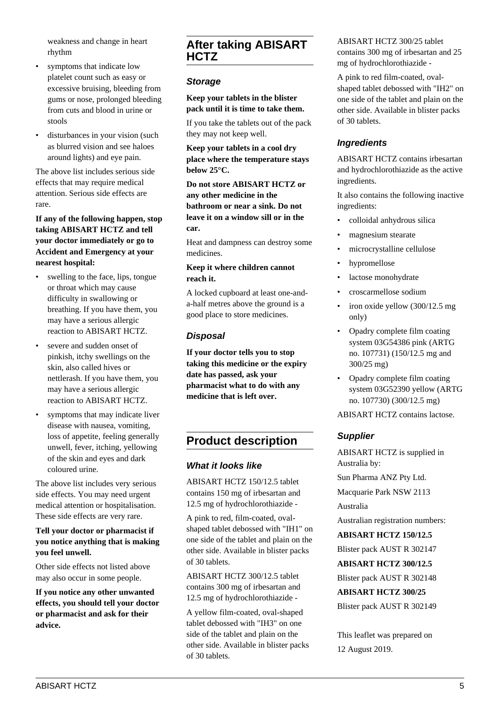weakness and change in heart rhythm

- symptoms that indicate low platelet count such as easy or excessive bruising, bleeding from gums or nose, prolonged bleeding from cuts and blood in urine or stools
- disturbances in your vision (such as blurred vision and see haloes around lights) and eye pain.

The above list includes serious side effects that may require medical attention. Serious side effects are rare.

#### **If any of the following happen, stop taking ABISART HCTZ and tell your doctor immediately or go to Accident and Emergency at your nearest hospital:**

- swelling to the face, lips, tongue or throat which may cause difficulty in swallowing or breathing. If you have them, you may have a serious allergic reaction to ABISART HCTZ.
- severe and sudden onset of pinkish, itchy swellings on the skin, also called hives or nettlerash. If you have them, you may have a serious allergic reaction to ABISART HCTZ.
- symptoms that may indicate liver disease with nausea, vomiting, loss of appetite, feeling generally unwell, fever, itching, yellowing of the skin and eyes and dark coloured urine.

The above list includes very serious side effects. You may need urgent medical attention or hospitalisation. These side effects are very rare.

#### **Tell your doctor or pharmacist if you notice anything that is making you feel unwell.**

Other side effects not listed above may also occur in some people.

**If you notice any other unwanted effects, you should tell your doctor or pharmacist and ask for their advice.**

# **After taking ABISART HCTZ**

# **Storage**

**Keep your tablets in the blister pack until it is time to take them.**

If you take the tablets out of the pack they may not keep well.

**Keep your tablets in a cool dry place where the temperature stays below 25°C.**

**Do not store ABISART HCTZ or any other medicine in the bathroom or near a sink. Do not leave it on a window sill or in the car.**

Heat and dampness can destroy some medicines.

#### **Keep it where children cannot reach it.**

A locked cupboard at least one-anda-half metres above the ground is a good place to store medicines.

## **Disposal**

**If your doctor tells you to stop taking this medicine or the expiry date has passed, ask your pharmacist what to do with any medicine that is left over.**

# **Product description**

# **What it looks like**

ABISART HCTZ 150/12.5 tablet contains 150 mg of irbesartan and 12.5 mg of hydrochlorothiazide -

A pink to red, film-coated, ovalshaped tablet debossed with "IH1" on one side of the tablet and plain on the other side. Available in blister packs of 30 tablets.

ABISART HCTZ 300/12.5 tablet contains 300 mg of irbesartan and 12.5 mg of hydrochlorothiazide -

A yellow film-coated, oval-shaped tablet debossed with "IH3" on one side of the tablet and plain on the other side. Available in blister packs of 30 tablets.

ABISART HCTZ 300/25 tablet contains 300 mg of irbesartan and 25 mg of hydrochlorothiazide -

A pink to red film-coated, ovalshaped tablet debossed with "IH2" on one side of the tablet and plain on the other side. Available in blister packs of 30 tablets.

# **Ingredients**

ABISART HCTZ contains irbesartan and hydrochlorothiazide as the active ingredients.

It also contains the following inactive ingredients:

- colloidal anhydrous silica
- magnesium stearate
- microcrystalline cellulose
- hypromellose
- lactose monohydrate
- croscarmellose sodium
- iron oxide yellow (300/12.5 mg only)
- Opadry complete film coating system 03G54386 pink (ARTG no. 107731) (150/12.5 mg and 300/25 mg)
- Opadry complete film coating system 03G52390 yellow (ARTG no. 107730) (300/12.5 mg)

ABISART HCTZ contains lactose.

# **Supplier**

ABISART HCTZ is supplied in Australia by:

Sun Pharma ANZ Pty Ltd.

Macquarie Park NSW 2113

Australia

Australian registration numbers:

**ABISART HCTZ 150/12.5**

Blister pack AUST R 302147

**ABISART HCTZ 300/12.5**

Blister pack AUST R 302148

**ABISART HCTZ 300/25**

Blister pack AUST R 302149

This leaflet was prepared on 12 August 2019.